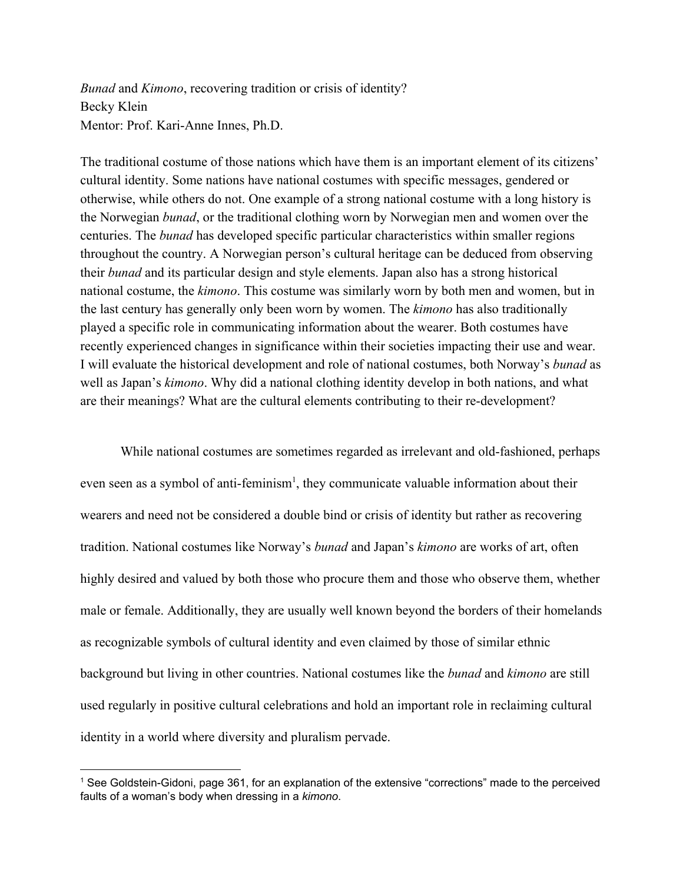*Bunad* and *Kimono*, recovering tradition or crisis of identity? Becky Klein Mentor: Prof. Kari-Anne Innes, Ph.D.

The traditional costume of those nations which have them is an important element of its citizens' cultural identity. Some nations have national costumes with specific messages, gendered or otherwise, while others do not. One example of a strong national costume with a long history is the Norwegian *bunad*, or the traditional clothing worn by Norwegian men and women over the centuries. The *bunad* has developed specific particular characteristics within smaller regions throughout the country. A Norwegian person's cultural heritage can be deduced from observing their *bunad* and its particular design and style elements. Japan also has a strong historical national costume, the *kimono*. This costume was similarly worn by both men and women, but in the last century has generally only been worn by women. The *kimono* has also traditionally played a specific role in communicating information about the wearer. Both costumes have recently experienced changes in significance within their societies impacting their use and wear. I will evaluate the historical development and role of national costumes, both Norway's *bunad* as well as Japan's *kimono*. Why did a national clothing identity develop in both nations, and what are their meanings? What are the cultural elements contributing to their re-development?

While national costumes are sometimes regarded as irrelevant and old-fashioned, perhaps even seen as a symbol of anti-feminism<sup>1</sup>, they communicate valuable information about their wearers and need not be considered a double bind or crisis of identity but rather as recovering tradition. National costumes like Norway's *bunad* and Japan's *kimono* are works of art, often highly desired and valued by both those who procure them and those who observe them, whether male or female. Additionally, they are usually well known beyond the borders of their homelands as recognizable symbols of cultural identity and even claimed by those of similar ethnic background but living in other countries. National costumes like the *bunad* and *kimono* are still used regularly in positive cultural celebrations and hold an important role in reclaiming cultural identity in a world where diversity and pluralism pervade.

<sup>1</sup> See Goldstein-Gidoni, page 361, for an explanation of the extensive "corrections" made to the perceived faults of a woman's body when dressing in a *kimono*.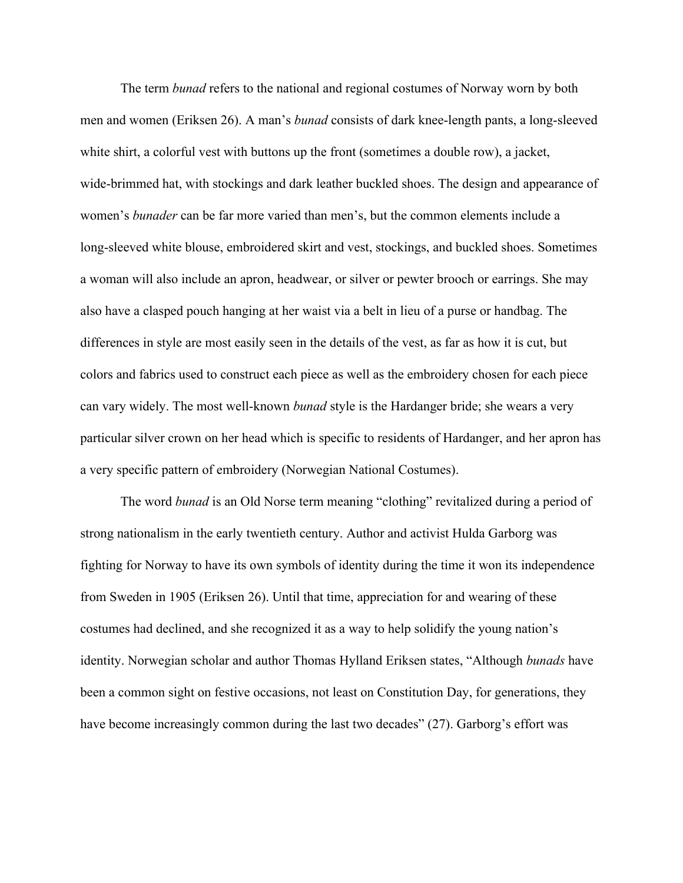The term *bunad* refers to the national and regional costumes of Norway worn by both men and women (Eriksen 26). A man's *bunad* consists of dark knee-length pants, a long-sleeved white shirt, a colorful vest with buttons up the front (sometimes a double row), a jacket, wide-brimmed hat, with stockings and dark leather buckled shoes. The design and appearance of women's *bunader* can be far more varied than men's, but the common elements include a long-sleeved white blouse, embroidered skirt and vest, stockings, and buckled shoes. Sometimes a woman will also include an apron, headwear, or silver or pewter brooch or earrings. She may also have a clasped pouch hanging at her waist via a belt in lieu of a purse or handbag. The differences in style are most easily seen in the details of the vest, as far as how it is cut, but colors and fabrics used to construct each piece as well as the embroidery chosen for each piece can vary widely. The most well-known *bunad* style is the Hardanger bride; she wears a very particular silver crown on her head which is specific to residents of Hardanger, and her apron has a very specific pattern of embroidery (Norwegian National Costumes).

The word *bunad* is an Old Norse term meaning "clothing" revitalized during a period of strong nationalism in the early twentieth century. Author and activist Hulda Garborg was fighting for Norway to have its own symbols of identity during the time it won its independence from Sweden in 1905 (Eriksen 26). Until that time, appreciation for and wearing of these costumes had declined, and she recognized it as a way to help solidify the young nation's identity. Norwegian scholar and author Thomas Hylland Eriksen states, "Although *bunads* have been a common sight on festive occasions, not least on Constitution Day, for generations, they have become increasingly common during the last two decades" (27). Garborg's effort was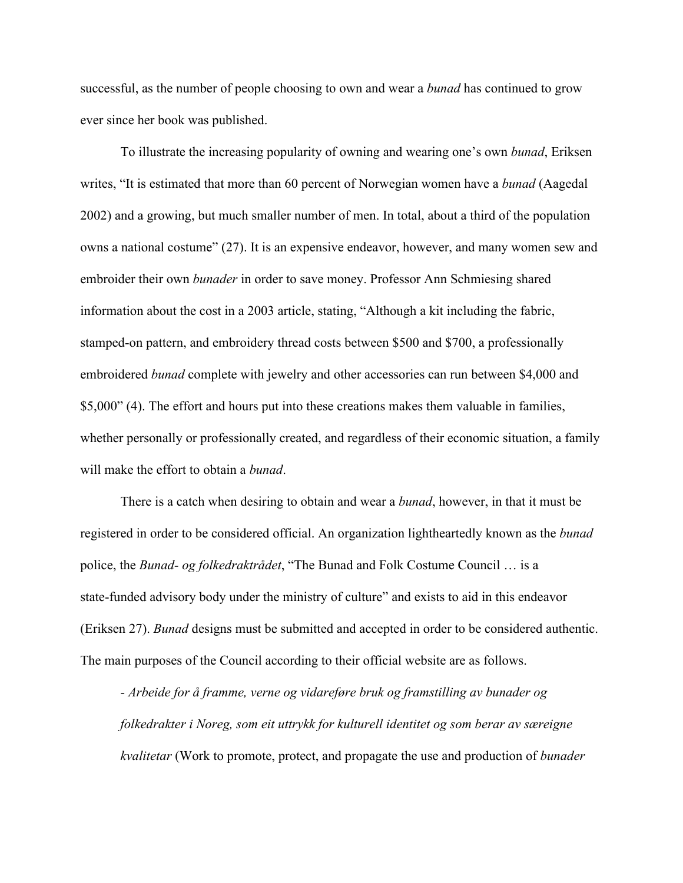successful, as the number of people choosing to own and wear a *bunad* has continued to grow ever since her book was published.

To illustrate the increasing popularity of owning and wearing one's own *bunad*, Eriksen writes, "It is estimated that more than 60 percent of Norwegian women have a *bunad* (Aagedal 2002) and a growing, but much smaller number of men. In total, about a third of the population owns a national costume" (27). It is an expensive endeavor, however, and many women sew and embroider their own *bunader* in order to save money. Professor Ann Schmiesing shared information about the cost in a 2003 article, stating, "Although a kit including the fabric, stamped-on pattern, and embroidery thread costs between \$500 and \$700, a professionally embroidered *bunad* complete with jewelry and other accessories can run between \$4,000 and \$5,000" (4). The effort and hours put into these creations makes them valuable in families, whether personally or professionally created, and regardless of their economic situation, a family will make the effort to obtain a *bunad*.

There is a catch when desiring to obtain and wear a *bunad*, however, in that it must be registered in order to be considered official. An organization lightheartedly known as the *bunad* police, the *Bunad- og folkedraktrådet*, "The Bunad and Folk Costume Council … is a state-funded advisory body under the ministry of culture" and exists to aid in this endeavor (Eriksen 27). *Bunad* designs must be submitted and accepted in order to be considered authentic. The main purposes of the Council according to their official website are as follows.

*- Arbeide for å framme, verne og vidareføre bruk og framstilling av bunader og folkedrakter i Noreg, som eit uttrykk for kulturell identitet og som berar av særeigne kvalitetar* (Work to promote, protect, and propagate the use and production of *bunader*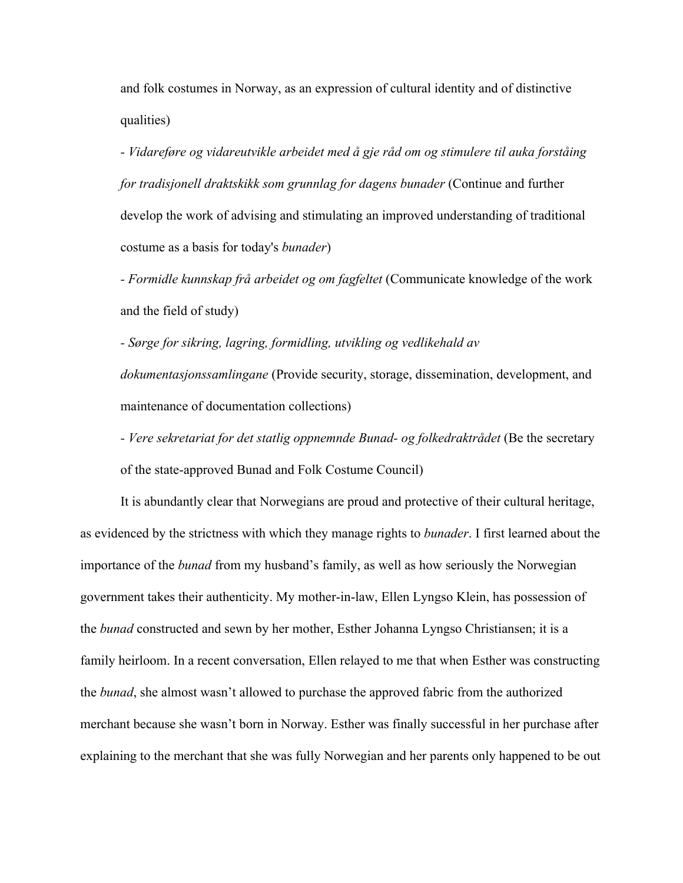and folk costumes in Norway, as an expression of cultural identity and of distinctive qualities)

*- Vidareføre og vidareutvikle arbeidet med å gje råd om og stimulere til auka forståing for tradisjonell draktskikk som grunnlag for dagens bunader* (Continue and further develop the work of advising and stimulating an improved understanding of traditional costume as a basis for today's *bunader*)

*- Formidle kunnskap frå arbeidet og om fagfeltet* (Communicate knowledge of the work and the field of study)

*- Sørge for sikring, lagring, formidling, utvikling og vedlikehald av dokumentasjonssamlingane* (Provide security, storage, dissemination, development, and maintenance of documentation collections)

*- Vere sekretariat for det statlig oppnemnde Bunad- og folkedraktrådet* (Be the secretary of the state-approved Bunad and Folk Costume Council)

It is abundantly clear that Norwegians are proud and protective of their cultural heritage, as evidenced by the strictness with which they manage rights to *bunader*. I first learned about the importance of the *bunad* from my husband's family, as well as how seriously the Norwegian government takes their authenticity. My mother-in-law, Ellen Lyngso Klein, has possession of the *bunad* constructed and sewn by her mother, Esther Johanna Lyngso Christiansen; it is a family heirloom. In a recent conversation, Ellen relayed to me that when Esther was constructing the *bunad*, she almost wasn't allowed to purchase the approved fabric from the authorized merchant because she wasn't born in Norway. Esther was finally successful in her purchase after explaining to the merchant that she was fully Norwegian and her parents only happened to be out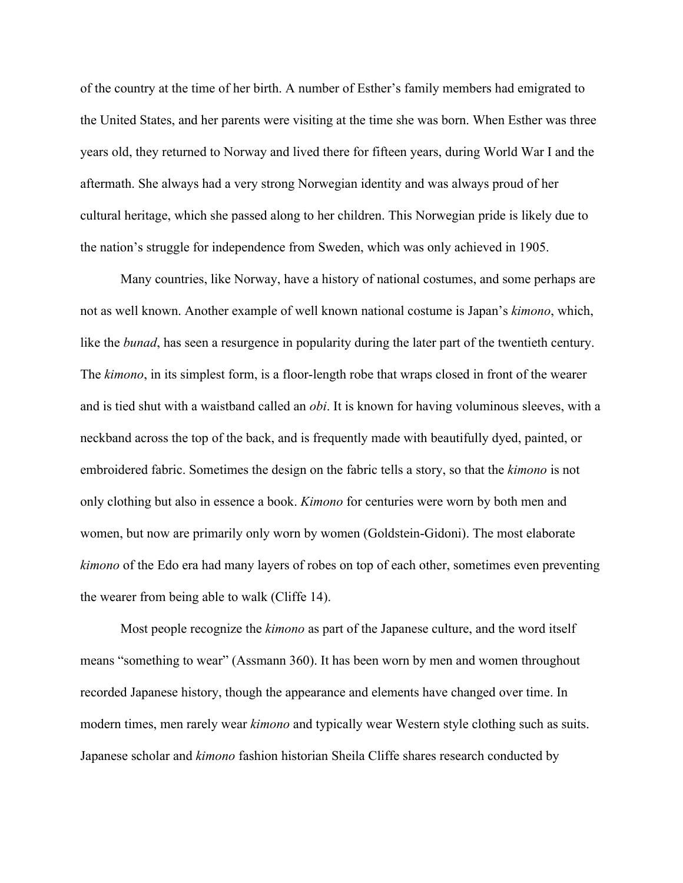of the country at the time of her birth. A number of Esther's family members had emigrated to the United States, and her parents were visiting at the time she was born. When Esther was three years old, they returned to Norway and lived there for fifteen years, during World War I and the aftermath. She always had a very strong Norwegian identity and was always proud of her cultural heritage, which she passed along to her children. This Norwegian pride is likely due to the nation's struggle for independence from Sweden, which was only achieved in 1905.

Many countries, like Norway, have a history of national costumes, and some perhaps are not as well known. Another example of well known national costume is Japan's *kimono*, which, like the *bunad*, has seen a resurgence in popularity during the later part of the twentieth century. The *kimono*, in its simplest form, is a floor-length robe that wraps closed in front of the wearer and is tied shut with a waistband called an *obi*. It is known for having voluminous sleeves, with a neckband across the top of the back, and is frequently made with beautifully dyed, painted, or embroidered fabric. Sometimes the design on the fabric tells a story, so that the *kimono* is not only clothing but also in essence a book. *Kimono* for centuries were worn by both men and women, but now are primarily only worn by women (Goldstein-Gidoni). The most elaborate *kimono* of the Edo era had many layers of robes on top of each other, sometimes even preventing the wearer from being able to walk (Cliffe 14).

Most people recognize the *kimono* as part of the Japanese culture, and the word itself means "something to wear" (Assmann 360). It has been worn by men and women throughout recorded Japanese history, though the appearance and elements have changed over time. In modern times, men rarely wear *kimono* and typically wear Western style clothing such as suits. Japanese scholar and *kimono* fashion historian Sheila Cliffe shares research conducted by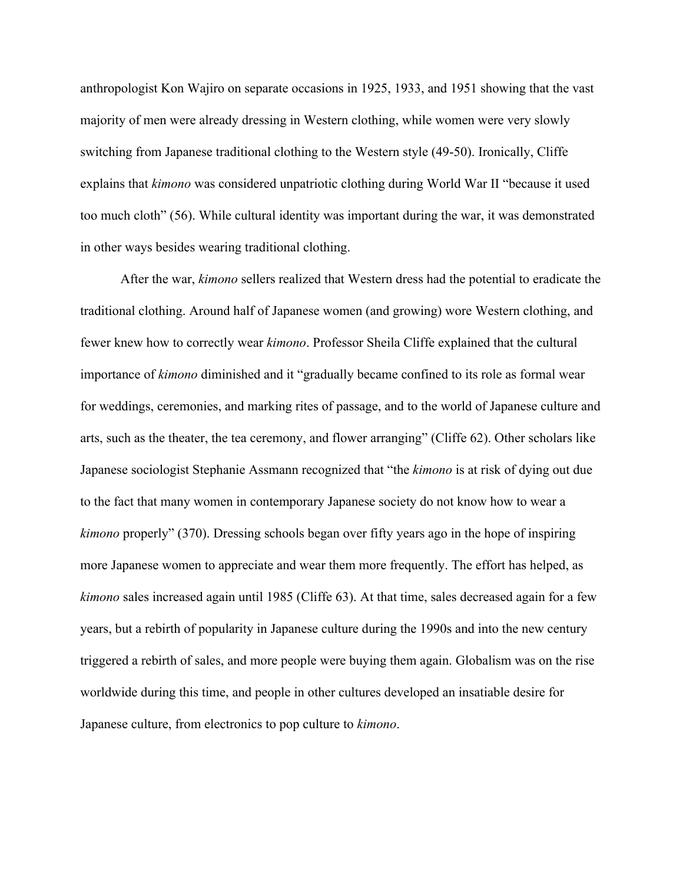anthropologist Kon Wajiro on separate occasions in 1925, 1933, and 1951 showing that the vast majority of men were already dressing in Western clothing, while women were very slowly switching from Japanese traditional clothing to the Western style (49-50). Ironically, Cliffe explains that *kimono* was considered unpatriotic clothing during World War II "because it used too much cloth" (56). While cultural identity was important during the war, it was demonstrated in other ways besides wearing traditional clothing.

After the war, *kimono* sellers realized that Western dress had the potential to eradicate the traditional clothing. Around half of Japanese women (and growing) wore Western clothing, and fewer knew how to correctly wear *kimono*. Professor Sheila Cliffe explained that the cultural importance of *kimono* diminished and it "gradually became confined to its role as formal wear for weddings, ceremonies, and marking rites of passage, and to the world of Japanese culture and arts, such as the theater, the tea ceremony, and flower arranging" (Cliffe 62). Other scholars like Japanese sociologist Stephanie Assmann recognized that "the *kimono* is at risk of dying out due to the fact that many women in contemporary Japanese society do not know how to wear a *kimono* properly" (370). Dressing schools began over fifty years ago in the hope of inspiring more Japanese women to appreciate and wear them more frequently. The effort has helped, as *kimono* sales increased again until 1985 (Cliffe 63). At that time, sales decreased again for a few years, but a rebirth of popularity in Japanese culture during the 1990s and into the new century triggered a rebirth of sales, and more people were buying them again. Globalism was on the rise worldwide during this time, and people in other cultures developed an insatiable desire for Japanese culture, from electronics to pop culture to *kimono*.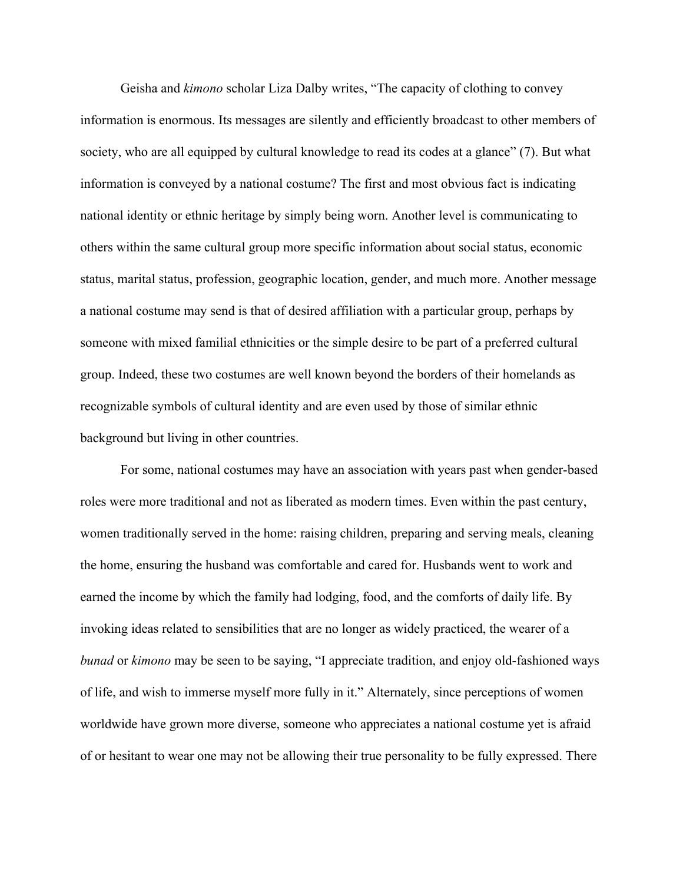Geisha and *kimono* scholar Liza Dalby writes, "The capacity of clothing to convey information is enormous. Its messages are silently and efficiently broadcast to other members of society, who are all equipped by cultural knowledge to read its codes at a glance" (7). But what information is conveyed by a national costume? The first and most obvious fact is indicating national identity or ethnic heritage by simply being worn. Another level is communicating to others within the same cultural group more specific information about social status, economic status, marital status, profession, geographic location, gender, and much more. Another message a national costume may send is that of desired affiliation with a particular group, perhaps by someone with mixed familial ethnicities or the simple desire to be part of a preferred cultural group. Indeed, these two costumes are well known beyond the borders of their homelands as recognizable symbols of cultural identity and are even used by those of similar ethnic background but living in other countries.

For some, national costumes may have an association with years past when gender-based roles were more traditional and not as liberated as modern times. Even within the past century, women traditionally served in the home: raising children, preparing and serving meals, cleaning the home, ensuring the husband was comfortable and cared for. Husbands went to work and earned the income by which the family had lodging, food, and the comforts of daily life. By invoking ideas related to sensibilities that are no longer as widely practiced, the wearer of a *bunad* or *kimono* may be seen to be saying, "I appreciate tradition, and enjoy old-fashioned ways of life, and wish to immerse myself more fully in it." Alternately, since perceptions of women worldwide have grown more diverse, someone who appreciates a national costume yet is afraid of or hesitant to wear one may not be allowing their true personality to be fully expressed. There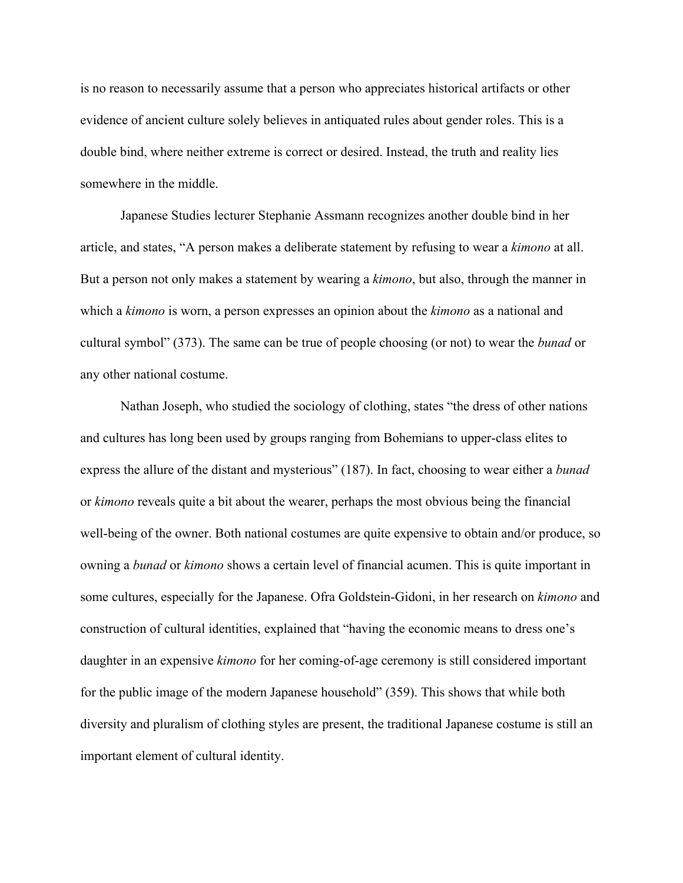is no reason to necessarily assume that a person who appreciates historical artifacts or other evidence of ancient culture solely believes in antiquated rules about gender roles. This is a double bind, where neither extreme is correct or desired. Instead, the truth and reality lies somewhere in the middle.

Japanese Studies lecturer Stephanie Assmann recognizes another double bind in her article, and states, "A person makes a deliberate statement by refusing to wear a *kimono* at all. But a person not only makes a statement by wearing a *kimono*, but also, through the manner in which a *kimono* is worn, a person expresses an opinion about the *kimono* as a national and cultural symbol" (373). The same can be true of people choosing (or not) to wear the *bunad* or any other national costume.

Nathan Joseph, who studied the sociology of clothing, states "the dress of other nations and cultures has long been used by groups ranging from Bohemians to upper-class elites to express the allure of the distant and mysterious" (187). In fact, choosing to wear either a *bunad* or *kimono* reveals quite a bit about the wearer, perhaps the most obvious being the financial well-being of the owner. Both national costumes are quite expensive to obtain and/or produce, so owning a *bunad* or *kimono* shows a certain level of financial acumen. This is quite important in some cultures, especially for the Japanese. Ofra Goldstein-Gidoni, in her research on *kimono* and construction of cultural identities, explained that "having the economic means to dress one's daughter in an expensive *kimono* for her coming-of-age ceremony is still considered important for the public image of the modern Japanese household" (359). This shows that while both diversity and pluralism of clothing styles are present, the traditional Japanese costume is still an important element of cultural identity.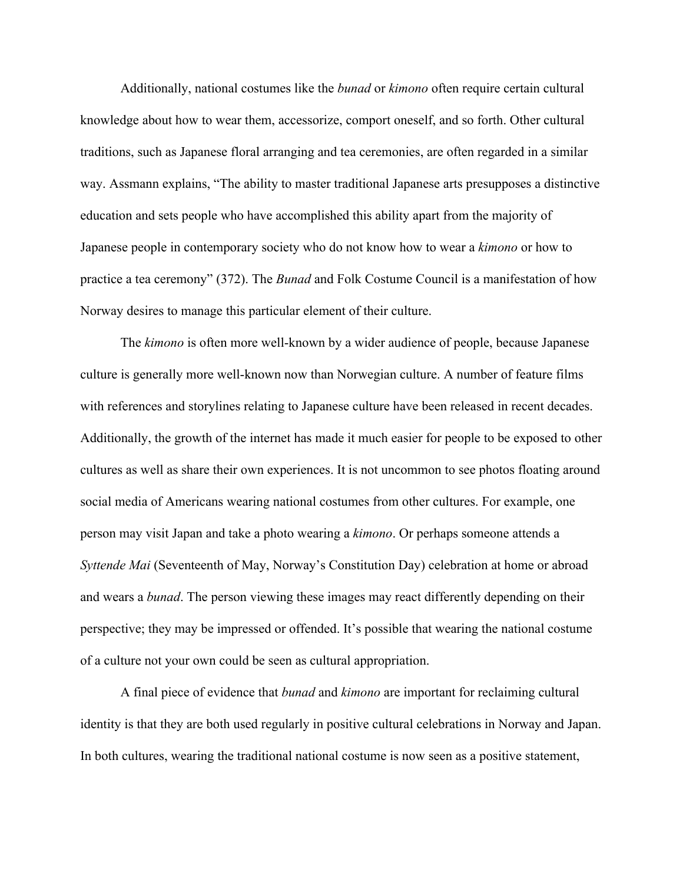Additionally, national costumes like the *bunad* or *kimono* often require certain cultural knowledge about how to wear them, accessorize, comport oneself, and so forth. Other cultural traditions, such as Japanese floral arranging and tea ceremonies, are often regarded in a similar way. Assmann explains, "The ability to master traditional Japanese arts presupposes a distinctive education and sets people who have accomplished this ability apart from the majority of Japanese people in contemporary society who do not know how to wear a *kimono* or how to practice a tea ceremony" (372). The *Bunad* and Folk Costume Council is a manifestation of how Norway desires to manage this particular element of their culture.

The *kimono* is often more well-known by a wider audience of people, because Japanese culture is generally more well-known now than Norwegian culture. A number of feature films with references and storylines relating to Japanese culture have been released in recent decades. Additionally, the growth of the internet has made it much easier for people to be exposed to other cultures as well as share their own experiences. It is not uncommon to see photos floating around social media of Americans wearing national costumes from other cultures. For example, one person may visit Japan and take a photo wearing a *kimono*. Or perhaps someone attends a *Syttende Mai* (Seventeenth of May, Norway's Constitution Day) celebration at home or abroad and wears a *bunad*. The person viewing these images may react differently depending on their perspective; they may be impressed or offended. It's possible that wearing the national costume of a culture not your own could be seen as cultural appropriation.

A final piece of evidence that *bunad* and *kimono* are important for reclaiming cultural identity is that they are both used regularly in positive cultural celebrations in Norway and Japan. In both cultures, wearing the traditional national costume is now seen as a positive statement,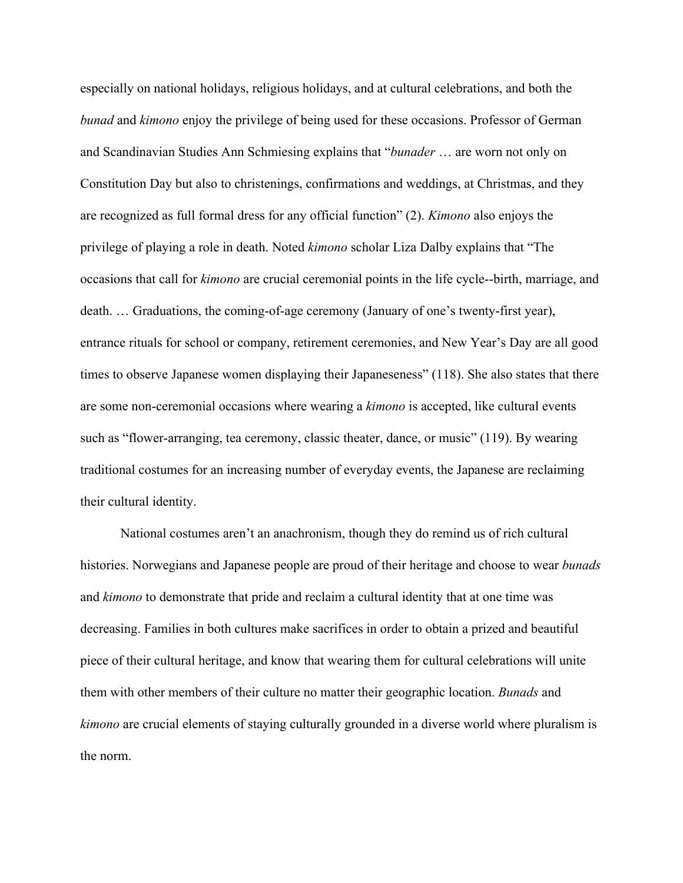especially on national holidays, religious holidays, and at cultural celebrations, and both the *bunad* and *kimono* enjoy the privilege of being used for these occasions. Professor of German and Scandinavian Studies Ann Schmiesing explains that "*bunader* … are worn not only on Constitution Day but also to christenings, confirmations and weddings, at Christmas, and they are recognized as full formal dress for any official function" (2). *Kimono* also enjoys the privilege of playing a role in death. Noted *kimono* scholar Liza Dalby explains that "The occasions that call for *kimono* are crucial ceremonial points in the life cycle--birth, marriage, and death. … Graduations, the coming-of-age ceremony (January of one's twenty-first year), entrance rituals for school or company, retirement ceremonies, and New Year's Day are all good times to observe Japanese women displaying their Japaneseness" (118). She also states that there are some non-ceremonial occasions where wearing a *kimono* is accepted, like cultural events such as "flower-arranging, tea ceremony, classic theater, dance, or music" (119). By wearing traditional costumes for an increasing number of everyday events, the Japanese are reclaiming their cultural identity.

National costumes aren't an anachronism, though they do remind us of rich cultural histories. Norwegians and Japanese people are proud of their heritage and choose to wear *bunads* and *kimono* to demonstrate that pride and reclaim a cultural identity that at one time was decreasing. Families in both cultures make sacrifices in order to obtain a prized and beautiful piece of their cultural heritage, and know that wearing them for cultural celebrations will unite them with other members of their culture no matter their geographic location. *Bunads* and *kimono* are crucial elements of staying culturally grounded in a diverse world where pluralism is the norm.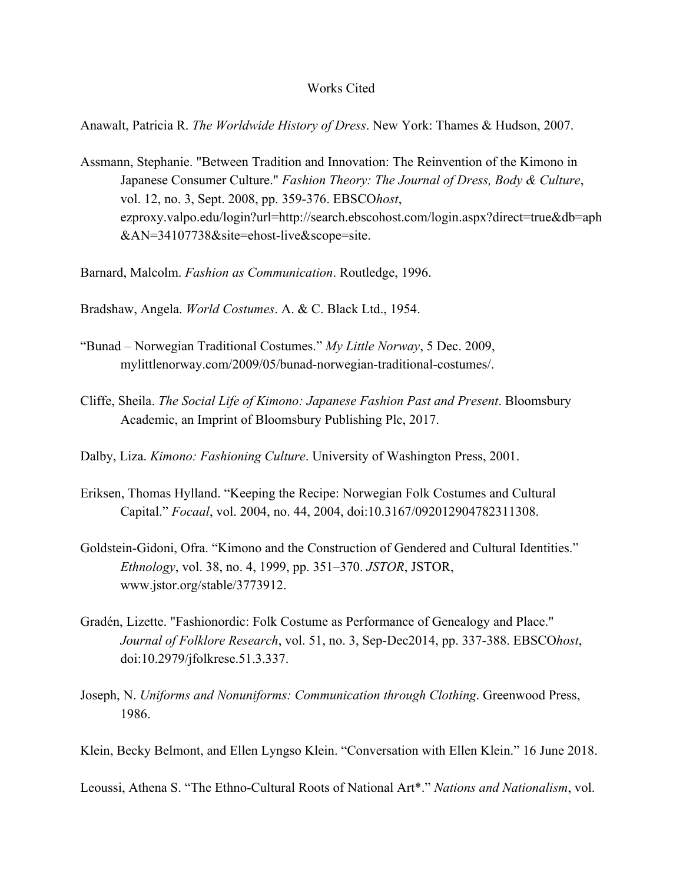## Works Cited

Anawalt, Patricia R. *The Worldwide History of Dress*. New York: Thames & Hudson, 2007.

Assmann, Stephanie. "Between Tradition and Innovation: The Reinvention of the Kimono in Japanese Consumer Culture." *Fashion Theory: The Journal of Dress, Body & Culture*, vol. 12, no. 3, Sept. 2008, pp. 359-376. EBSCO*host*, ezproxy.valpo.edu/login?url=http://search.ebscohost.com/login.aspx?direct=true&db=aph &AN=34107738&site=ehost-live&scope=site.

Barnard, Malcolm. *Fashion as Communication*. Routledge, 1996.

Bradshaw, Angela. *World Costumes*. A. & C. Black Ltd., 1954.

- "Bunad Norwegian Traditional Costumes." *My Little Norway*, 5 Dec. 2009, mylittlenorway.com/2009/05/bunad-norwegian-traditional-costumes/.
- Cliffe, Sheila. *The Social Life of Kimono: Japanese Fashion Past and Present*. Bloomsbury Academic, an Imprint of Bloomsbury Publishing Plc, 2017.

Dalby, Liza. *Kimono: Fashioning Culture*. University of Washington Press, 2001.

- Eriksen, Thomas Hylland. "Keeping the Recipe: Norwegian Folk Costumes and Cultural Capital." *Focaal*, vol. 2004, no. 44, 2004, doi:10.3167/092012904782311308.
- Goldstein-Gidoni, Ofra. "Kimono and the Construction of Gendered and Cultural Identities." *Ethnology*, vol. 38, no. 4, 1999, pp. 351–370. *JSTOR*, JSTOR, www.jstor.org/stable/3773912.
- Gradén, Lizette. "Fashionordic: Folk Costume as Performance of Genealogy and Place." *Journal of Folklore Research*, vol. 51, no. 3, Sep-Dec2014, pp. 337-388. EBSCO*host*, doi:10.2979/jfolkrese.51.3.337.
- Joseph, N. *Uniforms and Nonuniforms: Communication through Clothing*. Greenwood Press, 1986.

Klein, Becky Belmont, and Ellen Lyngso Klein. "Conversation with Ellen Klein." 16 June 2018.

Leoussi, Athena S. "The Ethno-Cultural Roots of National Art\*." *Nations and Nationalism*, vol.